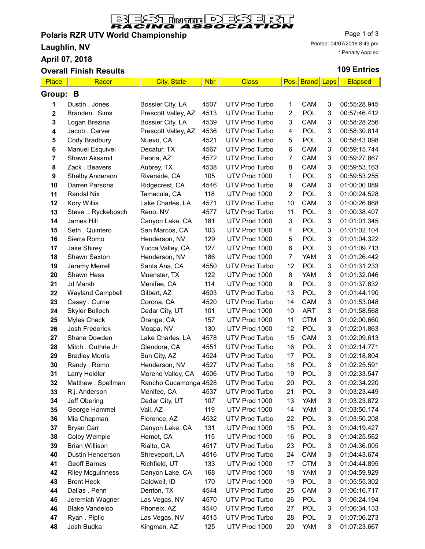

## Polaris RZR UTV World Championship

Laughlin, NV

April 07, 2018

### Overall Finish Results

Page 1 of 3 Printed: 04/07/2018 8:49 pm \* Penalty Applied

### 109 Entries

| Place       | Racer                   | <b>City, State</b>    | <b>Nbr</b> | <b>Class</b>          |                | Pos. Brand | Laps | <b>Elapsed</b> |
|-------------|-------------------------|-----------------------|------------|-----------------------|----------------|------------|------|----------------|
| Group:<br>B |                         |                       |            |                       |                |            |      |                |
| 1           | Dustin . Jones          | Bossier City, LA      | 4507       | <b>UTV Prod Turbo</b> | 1              | CAM        | 3    | 00:55:28.945   |
| 2           | Branden . Sims          | Prescott Valley, AZ   | 4513       | <b>UTV Prod Turbo</b> | 2              | <b>POL</b> | 3    | 00:57:46.412   |
| 3           | Logan Brezina           | Bossier City, LA      | 4539       | <b>UTV Prod Turbo</b> | 3              | CAM        | 3    | 00:58:28.256   |
| 4           | Jacob . Carver          | Prescott Valley, AZ   | 4536       | <b>UTV Prod Turbo</b> | 4              | <b>POL</b> | 3    | 00:58:30.814   |
| 5           | Cody Bradbury           | Nuevo, CA             | 4521       | <b>UTV Prod Turbo</b> | 5              | <b>POL</b> | 3    | 00:58:43.098   |
| 6           | <b>Manuel Esquivel</b>  | Decatur, TX           | 4567       | <b>UTV Prod Turbo</b> | 6              | CAM        | 3    | 00:59:15.744   |
| 7           | Shawn Aksamit           | Peoria, AZ            | 4572       | UTV Prod Turbo        | 7              | CAM        | 3    | 00:59:27.867   |
| 8           | Zack . Beavers          | Aubrey, TX            | 4538       | <b>UTV Prod Turbo</b> | 8              | CAM        | 3    | 00:59:53.163   |
| 9           | Shelby Anderson         | Riverside, CA         | 105        | UTV Prod 1000         | 1              | <b>POL</b> | 3    | 00:59:53.255   |
| 10          | Darren Parsons          | Ridgecrest, CA        | 4546       | <b>UTV Prod Turbo</b> | 9              | CAM        | 3    | 01:00:00.089   |
| 11          | <b>Randal Nix</b>       | Temecula, CA          | 118        | UTV Prod 1000         | $\overline{c}$ | <b>POL</b> | 3    | 01:00:24.528   |
| 12          | Kory Willis             | Lake Charles, LA      | 4571       | <b>UTV Prod Turbo</b> | 10             | CAM        | 3    | 01:00:26.868   |
| 13          | Steve  Ryckebosch       | Reno, NV              | 4577       | <b>UTV Prod Turbo</b> | 11             | <b>POL</b> | 3    | 01:00:38.407   |
| 14          | James Hill              | Canyon Lake, CA       | 181        | UTV Prod 1000         | 3              | <b>POL</b> | 3    | 01:01:01.345   |
| 15          | Seth . Quintero         | San Marcos, CA        | 103        | UTV Prod 1000         | 4              | POL        | 3    | 01:01:02.104   |
| 16          | Sierra Romo             | Henderson, NV         | 129        | UTV Prod 1000         | 5              | <b>POL</b> | 3    | 01:01:04.322   |
| 17          | Jake Shirey             | Yucca Valley, CA      | 127        | UTV Prod 1000         | 6              | <b>POL</b> | 3    | 01:01:09.713   |
| 18          | Shawn Saxton            | Henderson, NV         | 186        | UTV Prod 1000         | $\overline{7}$ | YAM        | 3    | 01:01:26.442   |
| 19          | Jeremy Merrell          | Santa Ana, CA         | 4550       | <b>UTV Prod Turbo</b> | 12             | <b>POL</b> | 3    | 01:01:31.233   |
| 20          | Shawn Hess              | Muenster, TX          | 122        | UTV Prod 1000         | 8              | <b>YAM</b> | 3    | 01:01:32.046   |
| 21          | Jd Marsh                | Menifee, CA           | 114        | UTV Prod 1000         | 9              | <b>POL</b> | 3    | 01:01:37.832   |
| 22          | <b>Wayland Campbell</b> | Gilbert, AZ           | 4503       | <b>UTV Prod Turbo</b> | 13             | <b>POL</b> | 3    | 01:01:44.190   |
| 23          | Casey . Currie          | Corona, CA            | 4520       | <b>UTV Prod Turbo</b> | 14             | CAM        | 3    | 01:01:53.048   |
| 24          | Skyler Bulloch          | Cedar City, UT        | 101        | UTV Prod 1000         | 10             | <b>ART</b> | 3    | 01:01:58.568   |
| 25          | <b>Myles Check</b>      | Orange, CA            | 157        | UTV Prod 1000         | 11             | <b>CTM</b> | 3    | 01:02:00.660   |
| 26          | Josh Frederick          | Moapa, NV             | 130        | UTV Prod 1000         | 12             | POL        | 3    | 01:02:01.863   |
| 27          | Shane Dowden            | Lake Charles, LA      | 4578       | UTV Prod Turbo        | 15             | CAM        | 3    | 01:02:09.613   |
| 28          | Mitch. Guthrie Jr       | Glendora, CA          | 4551       | <b>UTV Prod Turbo</b> | 16             | <b>POL</b> | 3    | 01:02:14.771   |
| 29          | <b>Bradley Morris</b>   | Sun City, AZ          | 4524       | <b>UTV Prod Turbo</b> | 17             | <b>POL</b> | 3    | 01:02:18.804   |
| 30          | Randy . Romo            | Henderson, NV         | 4527       | <b>UTV Prod Turbo</b> | 18             | POL        | 3    | 01:02:25.591   |
| 31          | Larry Heidler           | Moreno Valley, CA     | 4506       | <b>UTV Prod Turbo</b> | 19             | POL        | 3    | 01:02:33.547   |
| 32          | Matthew . Spellman      | Rancho Cucamonga 4528 |            | <b>UTV Prod Turbo</b> | 20             | POL        | 3    | 01:02:34.220   |
| 33          | R.j. Anderson           | Menifee, CA           | 4537       | <b>UTV Prod Turbo</b> | 21             | POL        | 3    | 01:03:23.449   |
| 34          | Jeff Obering            | Cedar City, UT        | 107        | UTV Prod 1000         | 13             | YAM        | 3    | 01:03:23.872   |
| 35          | George Hammel           | Vail, AZ              | 119        | UTV Prod 1000         | 14             | YAM        | 3    | 01:03:50.174   |
| 36          | Mia Chapman             | Florence, AZ          | 4532       | UTV Prod Turbo        | 22             | <b>POL</b> | 3    | 01:03:50.208   |
| 37          | Bryan Carr              | Canyon Lake, CA       | 131        | UTV Prod 1000         | 15             | <b>POL</b> | 3    | 01:04:19.427   |
| 38          | Colby Wemple            | Hemet, CA             | 115        | UTV Prod 1000         | 16             | POL        | 3    | 01:04:25.562   |
| 39          | <b>Brian Willison</b>   | Rialto, CA            | 4517       | UTV Prod Turbo        | 23             | <b>POL</b> | 3    | 01:04:36.005   |
| 40          | Dustin Henderson        | Shreveport, LA        | 4516       | <b>UTV Prod Turbo</b> | 24             | CAM        | 3    | 01:04:43.674   |
| 41          | Geoff Barnes            | Richfield, UT         | 133        | UTV Prod 1000         | 17             | <b>CTM</b> | 3    | 01:04:44.895   |
| 42          | <b>Riley Mcguinness</b> | Canyon Lake, CA       | 168        | UTV Prod 1000         | 18             | <b>YAM</b> | 3    | 01:04:59.929   |
| 43          | <b>Brent Heck</b>       | Caldwell, ID          | 170        | UTV Prod 1000         | 19             | <b>POL</b> | 3    | 01:05:55.302   |
| 44          | Dallas . Penn           | Denton, TX            | 4544       | <b>UTV Prod Turbo</b> | 25             | CAM        | 3    | 01:06:16.717   |
| 45          | Jeremiah Wagner         | Las Vegas, NV         | 4570       | <b>UTV Prod Turbo</b> | 26             | POL        | 3    | 01:06:24.194   |
| 46          | <b>Blake Vandeloo</b>   | Phoneix, AZ           | 4540       | UTV Prod Turbo        | 27             | <b>POL</b> | 3    | 01:06:34.133   |
| 47          | Ryan . Piplic           | Las Vegas, NV         | 4515       | UTV Prod Turbo        | 28             | POL        | 3    | 01:07:06.273   |
| 48          | Josh Budka              | Kingman, AZ           | 125        | UTV Prod 1000         | 20             | <b>YAM</b> | 3    | 01:07:23.667   |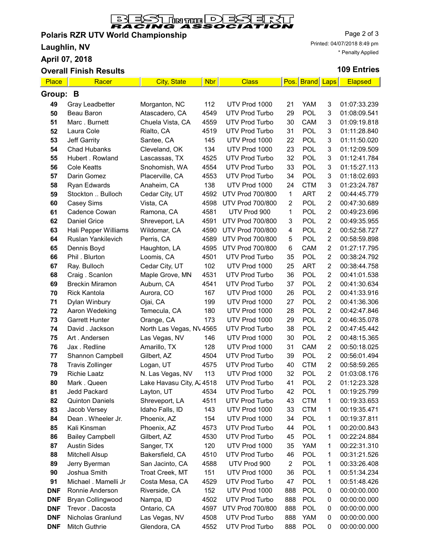

## Polaris RZR UTV World Championship

Laughlin, NV

April 07, 2018

# **Overall Finish Results**

Page 2 of 3 Printed: 04/07/2018 8:49 pm \* Penalty Applied

## 109 Entries

| Place       | Racer                                         | <b>City, State</b>            | <b>Nbr</b>  | <b>Class</b>                           |                | Pos. Brand Laps   |                | <b>Elapsed</b>               |
|-------------|-----------------------------------------------|-------------------------------|-------------|----------------------------------------|----------------|-------------------|----------------|------------------------------|
| Group:<br>В |                                               |                               |             |                                        |                |                   |                |                              |
| 49          | Gray Leadbetter                               | Morganton, NC                 | 112         | UTV Prod 1000                          | 21             | <b>YAM</b>        | 3              | 01:07:33.239                 |
| 50          | Beau Baron                                    | Atascadero, CA                | 4549        | <b>UTV Prod Turbo</b>                  | 29             | <b>POL</b>        | 3              | 01:08:09.541                 |
| 51          | Marc. Burnett                                 | Chuela Vista, CA              | 4559        | <b>UTV Prod Turbo</b>                  | 30             | CAM               | 3              | 01:09:19.818                 |
| 52          | Laura Cole                                    | Rialto, CA                    | 4519        | <b>UTV Prod Turbo</b>                  | 31             | <b>POL</b>        | 3              | 01:11:28.840                 |
| 53          | Jeff Garrity                                  | Santee, CA                    | 145         | UTV Prod 1000                          | 22             | <b>POL</b>        | 3              | 01:11:50.020                 |
| 54          | <b>Chad Hubanks</b>                           | Cleveland, OK                 | 134         | UTV Prod 1000                          | 23             | <b>POL</b>        | 3              | 01:12:09.509                 |
| 55          | Hubert . Rowland                              | Lascassas, TX                 | 4525        | <b>UTV Prod Turbo</b>                  | 32             | <b>POL</b>        | 3              | 01:12:41.784                 |
| 56          | <b>Cole Keatts</b>                            | Snohomish, WA                 | 4554        | <b>UTV Prod Turbo</b>                  | 33             | POL               | 3              | 01:15:27.113                 |
| 57          | Darin Gomez                                   | Placerville, CA               | 4553        | <b>UTV Prod Turbo</b>                  | 34             | <b>POL</b>        | 3              | 01:18:02.693                 |
| 58          | Ryan Edwards                                  | Anaheim, CA                   | 138         | UTV Prod 1000                          | 24             | <b>CTM</b>        | 3              | 01:23:24.787                 |
| 59          | Stockton  Bulloch                             | Cedar City, UT                | 4592        | <b>UTV Prod 700/800</b>                | $\mathbf{1}$   | <b>ART</b>        | 2              | 00:44:45.779                 |
| 60          | Casey Sims                                    | Vista, CA                     | 4598        | <b>UTV Prod 700/800</b>                | $\overline{c}$ | <b>POL</b>        | $\overline{2}$ | 00:47:30.689                 |
| 61          | Cadence Cowan                                 | Ramona, CA                    | 4581        | UTV Prod 900                           | 1              | <b>POL</b>        | $\overline{c}$ | 00:49:23.696                 |
| 62          | <b>Daniel Grice</b>                           | Shreveport, LA                | 4591        | <b>UTV Prod 700/800</b>                | 3              | <b>POL</b>        | $\overline{c}$ | 00:49:35.955                 |
| 63          | Hali Pepper Williams                          | Wildomar, CA                  | 4590        | <b>UTV Prod 700/800</b>                | 4              | <b>POL</b>        | $\overline{2}$ | 00:52:58.727                 |
| 64          | Ruslan Yankilevich                            | Perris, CA                    | 4589        | <b>UTV Prod 700/800</b>                | 5              | <b>POL</b>        | $\overline{2}$ | 00:58:59.898                 |
| 65          | Dennis Boyd                                   | Haughton, LA                  | 4595        | <b>UTV Prod 700/800</b>                | 6              | CAM               | $\overline{2}$ | 01:27:17.795                 |
| 66          | Phil . Blurton                                | Loomis, CA                    | 4501        | <b>UTV Prod Turbo</b>                  | 35             | <b>POL</b>        | $\overline{2}$ | 00:38:24.792                 |
| 67          | Ray. Bulloch                                  | Cedar City, UT                | 102         | UTV Prod 1000                          | 25             | <b>ART</b>        | $\overline{2}$ | 00:38:44.758                 |
| 68          | Craig. Scanlon                                | Maple Grove, MN               | 4531        | <b>UTV Prod Turbo</b>                  | 36             | <b>POL</b>        | $\overline{2}$ | 00:41:01.538                 |
| 69          | <b>Breckin Miramon</b>                        | Auburn, CA                    | 4541        | <b>UTV Prod Turbo</b>                  | 37             | <b>POL</b>        | $\overline{2}$ | 00:41:30.634                 |
| 70          | <b>Rick Kantola</b>                           | Aurora, CO                    | 167         | UTV Prod 1000                          | 26             | POL               | $\overline{2}$ | 00:41:33.916                 |
| 71          | Dylan Winbury                                 | Ojai, CA                      | 199         | UTV Prod 1000                          | 27             | <b>POL</b>        | $\overline{2}$ | 00:41:36.306                 |
| 72          | Aaron Wedeking                                | Temecula, CA                  | 180         | UTV Prod 1000                          | 28             | <b>POL</b>        | $\overline{2}$ | 00:42:47.846                 |
| 73          | <b>Garrett Hunter</b>                         | Orange, CA                    | 173         | UTV Prod 1000                          | 29             | POL               | $\overline{2}$ | 00:46:35.078                 |
| 74          | David . Jackson                               | North Las Vegas, NV 4565      |             | <b>UTV Prod Turbo</b>                  | 38             | <b>POL</b>        | $\overline{c}$ | 00:47:45.442                 |
| 75          | Art. Andersen                                 | Las Vegas, NV                 | 146         | UTV Prod 1000                          | 30             | <b>POL</b>        | $\overline{2}$ | 00:48:15.365                 |
| 76          | Jax . Redline                                 | Amarillo, TX                  | 128         | UTV Prod 1000                          | 31             | CAM               | $\overline{2}$ | 00:50:18.025                 |
| 77          | Shannon Campbell                              | Gilbert, AZ                   | 4504        | <b>UTV Prod Turbo</b>                  | 39             | <b>POL</b>        | $\overline{2}$ | 00:56:01.494                 |
| 78          | <b>Travis Zollinger</b>                       | Logan, UT                     | 4575        | <b>UTV Prod Turbo</b>                  | 40             | <b>CTM</b>        | $\overline{2}$ | 00:58:59.265                 |
| 79          | <b>Richie Laatz</b>                           | N. Las Vegas, NV              | 113         | UTV Prod 1000                          | 32             | <b>POL</b>        | $\overline{2}$ | 01:03:08.176                 |
| 80          | Mark. Queen                                   | Lake Havasu City, A. 4518     |             | <b>UTV Prod Turbo</b>                  | 41             | POL               | $\overline{2}$ | 01:12:23.328                 |
| 81          | <b>Jedd Packard</b>                           | Layton, UT                    | 4534        | <b>UTV Prod Turbo</b>                  | 42             | <b>POL</b>        | $\mathbf{1}$   | 00:19:25.799                 |
| 82          | <b>Quinton Daniels</b>                        | Shreveport, LA                | 4511        | <b>UTV Prod Turbo</b>                  | 43             | <b>CTM</b>        | 1              | 00:19:33.653                 |
| 83          | Jacob Versey                                  | Idaho Falls, ID               | 143         | UTV Prod 1000                          | 33             | <b>CTM</b>        | 1              | 00:19:35.471                 |
| 84          | Dean. Wheeler Jr.                             | Phoenix, AZ                   | 154         | UTV Prod 1000                          | 34             | POL               | 1              | 00:19:37.811                 |
| 85          | Kali Kinsman                                  | Phoenix, AZ                   | 4573        | <b>UTV Prod Turbo</b>                  | 44             | <b>POL</b>        | 1              | 00:20:00.843                 |
| 86          | <b>Bailey Campbell</b><br><b>Austin Sides</b> | Gilbert, AZ                   | 4530        | <b>UTV Prod Turbo</b><br>UTV Prod 1000 | 45<br>35       | <b>POL</b><br>YAM | 1              | 00:22:24.884                 |
| 87          |                                               | Sanger, TX<br>Bakersfield, CA | 120<br>4510 | <b>UTV Prod Turbo</b>                  | 46             | <b>POL</b>        | 1<br>1         | 00:22:31.310<br>00:31:21.526 |
| 88<br>89    | Mitchell Alsup                                | San Jacinto, CA               | 4588        | UTV Prod 900                           | $\overline{2}$ | <b>POL</b>        | 1              | 00:33:26.408                 |
| 90          | Jerry Byerman<br>Joshua Smith                 | Troat Creek, MT               | 151         | UTV Prod 1000                          | 36             | <b>POL</b>        | 1              | 00:51:34.234                 |
| 91          | Michael . Mamelli Jr                          | Costa Mesa, CA                | 4529        | <b>UTV Prod Turbo</b>                  | 47             | <b>POL</b>        | 1              | 00:51:48.426                 |
| <b>DNF</b>  | Ronnie Anderson                               | Riverside, CA                 | 152         | UTV Prod 1000                          | 888            | <b>POL</b>        | 0              | 00:00:00.000                 |
| <b>DNF</b>  | Bryan Collingwood                             | Nampa, ID                     | 4502        | <b>UTV Prod Turbo</b>                  | 888            | <b>POL</b>        | 0              | 00:00:00.000                 |
| <b>DNF</b>  | Trevor . Dacosta                              | Ontario, CA                   | 4597        | UTV Prod 700/800                       | 888            | <b>POL</b>        | 0              | 00:00:00.000                 |
| <b>DNF</b>  | Nicholas Granlund                             | Las Vegas, NV                 | 4508        | <b>UTV Prod Turbo</b>                  | 888            | YAM               | 0              | 00:00:00.000                 |
| <b>DNF</b>  | Mitch Guthrie                                 | Glendora, CA                  | 4552        | UTV Prod Turbo                         | 888            | <b>POL</b>        | 0              | 00:00:00.000                 |
|             |                                               |                               |             |                                        |                |                   |                |                              |